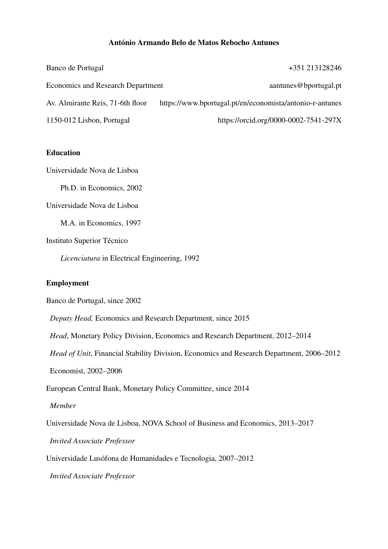### Antonio Armando Belo de Matos Rebocho Antunes ´

| Banco de Portugal                        | +351 213128246                                           |
|------------------------------------------|----------------------------------------------------------|
| <b>Economics and Research Department</b> | aantunes@bportugal.pt                                    |
| Av. Almirante Reis, 71-6th floor         | https://www.bportugal.pt/en/economista/antonio-r-antunes |
| 1150-012 Lisbon, Portugal                | https://orcid.org/0000-0002-7541-297X                    |

## Education

Universidade Nova de Lisboa

Ph.D. in Economics, 2002

Universidade Nova de Lisboa

M.A. in Economics, 1997

Instituto Superior Técnico

*Licenciatura* in Electrical Engineering, 1992

### Employment

Banco de Portugal, since 2002

*Deputy Head,* Economics and Research Department, since 2015

*Head*, Monetary Policy Division, Economics and Research Department, 2012–2014

*Head of Unit*, Financial Stability Division, Economics and Research Department, 2006–2012

Economist, 2002–2006

European Central Bank, Monetary Policy Committee, since 2014

#### *Member*

Universidade Nova de Lisboa, NOVA School of Business and Economics, 2013–2017

*Invited Associate Professor*

Universidade Lusofona de Humanidades e Tecnologia, 2007–2012 ´

*Invited Associate Professor*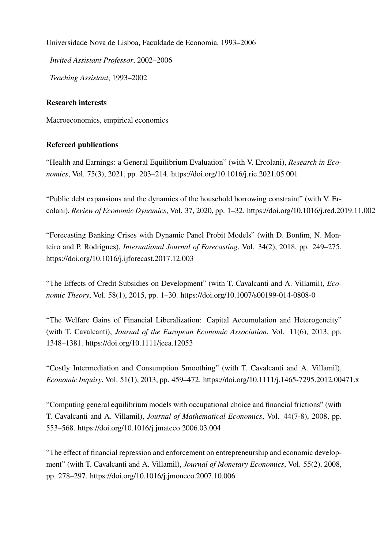Universidade Nova de Lisboa, Faculdade de Economia, 1993–2006

*Invited Assistant Professor*, 2002–2006

*Teaching Assistant*, 1993–2002

## Research interests

Macroeconomics, empirical economics

# Refereed publications

"Health and Earnings: a General Equilibrium Evaluation" (with V. Ercolani), *Research in Economics*, Vol. 75(3), 2021, pp. 203–214. https://doi.org/10.1016/j.rie.2021.05.001

"Public debt expansions and the dynamics of the household borrowing constraint" (with V. Ercolani), *Review of Economic Dynamics*, Vol. 37, 2020, pp. 1–32. https://doi.org/10.1016/j.red.2019.11.002

"Forecasting Banking Crises with Dynamic Panel Probit Models" (with D. Bonfim, N. Monteiro and P. Rodrigues), *International Journal of Forecasting*, Vol. 34(2), 2018, pp. 249–275. https://doi.org/10.1016/j.ijforecast.2017.12.003

"The Effects of Credit Subsidies on Development" (with T. Cavalcanti and A. Villamil), *Economic Theory*, Vol. 58(1), 2015, pp. 1–30. https://doi.org/10.1007/s00199-014-0808-0

"The Welfare Gains of Financial Liberalization: Capital Accumulation and Heterogeneity" (with T. Cavalcanti), *Journal of the European Economic Association*, Vol. 11(6), 2013, pp. 1348–1381. https://doi.org/10.1111/jeea.12053

"Costly Intermediation and Consumption Smoothing" (with T. Cavalcanti and A. Villamil), *Economic Inquiry*, Vol. 51(1), 2013, pp. 459–472. https://doi.org/10.1111/j.1465-7295.2012.00471.x

"Computing general equilibrium models with occupational choice and financial frictions" (with T. Cavalcanti and A. Villamil), *Journal of Mathematical Economics*, Vol. 44(7-8), 2008, pp. 553–568. https://doi.org/10.1016/j.jmateco.2006.03.004

"The effect of financial repression and enforcement on entrepreneurship and economic development" (with T. Cavalcanti and A. Villamil), *Journal of Monetary Economics*, Vol. 55(2), 2008, pp. 278–297. https://doi.org/10.1016/j.jmoneco.2007.10.006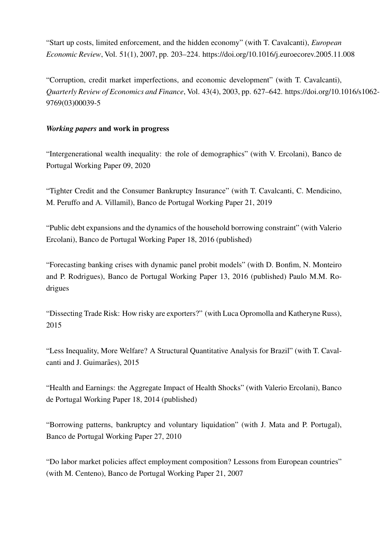"Start up costs, limited enforcement, and the hidden economy" (with T. Cavalcanti), *European Economic Review*, Vol. 51(1), 2007, pp. 203–224. https://doi.org/10.1016/j.euroecorev.2005.11.008

"Corruption, credit market imperfections, and economic development" (with T. Cavalcanti), *Quarterly Review of Economics and Finance*, Vol. 43(4), 2003, pp. 627–642. https://doi.org/10.1016/s1062- 9769(03)00039-5

## *Working papers* and work in progress

"Intergenerational wealth inequality: the role of demographics" (with V. Ercolani), Banco de Portugal Working Paper 09, 2020

"Tighter Credit and the Consumer Bankruptcy Insurance" (with T. Cavalcanti, C. Mendicino, M. Peruffo and A. Villamil), Banco de Portugal Working Paper 21, 2019

"Public debt expansions and the dynamics of the household borrowing constraint" (with Valerio Ercolani), Banco de Portugal Working Paper 18, 2016 (published)

"Forecasting banking crises with dynamic panel probit models" (with D. Bonfim, N. Monteiro and P. Rodrigues), Banco de Portugal Working Paper 13, 2016 (published) Paulo M.M. Rodrigues

"Dissecting Trade Risk: How risky are exporters?" (with Luca Opromolla and Katheryne Russ), 2015

"Less Inequality, More Welfare? A Structural Quantitative Analysis for Brazil" (with T. Cavalcanti and J. Guimarães), 2015

"Health and Earnings: the Aggregate Impact of Health Shocks" (with Valerio Ercolani), Banco de Portugal Working Paper 18, 2014 (published)

"Borrowing patterns, bankruptcy and voluntary liquidation" (with J. Mata and P. Portugal), Banco de Portugal Working Paper 27, 2010

"Do labor market policies affect employment composition? Lessons from European countries" (with M. Centeno), Banco de Portugal Working Paper 21, 2007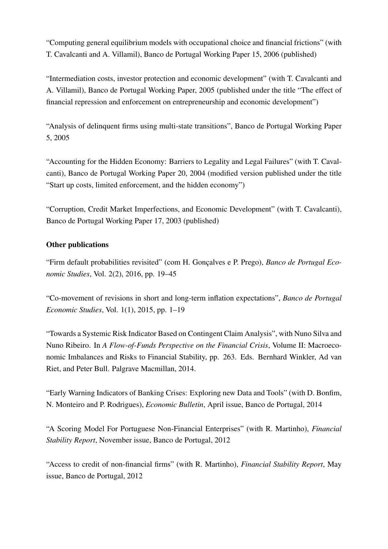"Computing general equilibrium models with occupational choice and financial frictions" (with T. Cavalcanti and A. Villamil), Banco de Portugal Working Paper 15, 2006 (published)

"Intermediation costs, investor protection and economic development" (with T. Cavalcanti and A. Villamil), Banco de Portugal Working Paper, 2005 (published under the title "The effect of financial repression and enforcement on entrepreneurship and economic development")

"Analysis of delinquent firms using multi-state transitions", Banco de Portugal Working Paper 5, 2005

"Accounting for the Hidden Economy: Barriers to Legality and Legal Failures" (with T. Cavalcanti), Banco de Portugal Working Paper 20, 2004 (modified version published under the title "Start up costs, limited enforcement, and the hidden economy")

"Corruption, Credit Market Imperfections, and Economic Development" (with T. Cavalcanti), Banco de Portugal Working Paper 17, 2003 (published)

# Other publications

"Firm default probabilities revisited" (com H. Gonçalves e P. Prego), *Banco de Portugal Economic Studies*, Vol. 2(2), 2016, pp. 19–45

"Co-movement of revisions in short and long-term inflation expectations", *Banco de Portugal Economic Studies*, Vol. 1(1), 2015, pp. 1–19

"Towards a Systemic Risk Indicator Based on Contingent Claim Analysis", with Nuno Silva and Nuno Ribeiro. In *A Flow-of-Funds Perspective on the Financial Crisis*, Volume II: Macroeconomic Imbalances and Risks to Financial Stability, pp. 263. Eds. Bernhard Winkler, Ad van Riet, and Peter Bull. Palgrave Macmillan, 2014.

"Early Warning Indicators of Banking Crises: Exploring new Data and Tools" (with D. Bonfim, N. Monteiro and P. Rodrigues), *Economic Bulletin*, April issue, Banco de Portugal, 2014

"A Scoring Model For Portuguese Non-Financial Enterprises" (with R. Martinho), *Financial Stability Report*, November issue, Banco de Portugal, 2012

"Access to credit of non-financial firms" (with R. Martinho), *Financial Stability Report*, May issue, Banco de Portugal, 2012